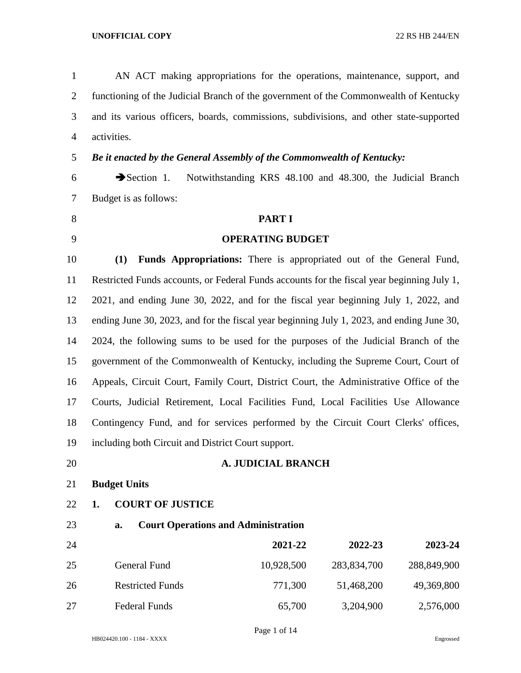AN ACT making appropriations for the operations, maintenance, support, and functioning of the Judicial Branch of the government of the Commonwealth of Kentucky and its various officers, boards, commissions, subdivisions, and other state-supported activities.

## *Be it enacted by the General Assembly of the Commonwealth of Kentucky:*

 Section 1. Notwithstanding KRS 48.100 and 48.300, the Judicial Branch Budget is as follows:

# **PART I**

## **OPERATING BUDGET**

 **(1) Funds Appropriations:** There is appropriated out of the General Fund, Restricted Funds accounts, or Federal Funds accounts for the fiscal year beginning July 1, 2021, and ending June 30, 2022, and for the fiscal year beginning July 1, 2022, and ending June 30, 2023, and for the fiscal year beginning July 1, 2023, and ending June 30, 2024, the following sums to be used for the purposes of the Judicial Branch of the government of the Commonwealth of Kentucky, including the Supreme Court, Court of Appeals, Circuit Court, Family Court, District Court, the Administrative Office of the Courts, Judicial Retirement, Local Facilities Fund, Local Facilities Use Allowance Contingency Fund, and for services performed by the Circuit Court Clerks' offices, including both Circuit and District Court support.

## **A. JUDICIAL BRANCH**

**Budget Units**

## **1. COURT OF JUSTICE**

## **a. Court Operations and Administration**

| 24 |                         | 2021-22    | 2022-23     | 2023-24     |
|----|-------------------------|------------|-------------|-------------|
| 25 | General Fund            | 10,928,500 | 283,834,700 | 288,849,900 |
| 26 | <b>Restricted Funds</b> | 771,300    | 51,468,200  | 49,369,800  |
| 27 | Federal Funds           | 65,700     | 3,204,900   | 2,576,000   |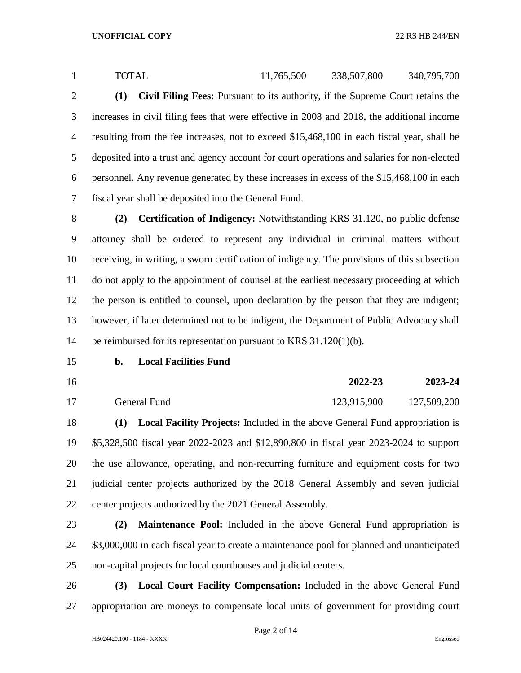1 TOTAL 11,765,500 338,507,800 340,795,700 **(1) Civil Filing Fees:** Pursuant to its authority, if the Supreme Court retains the increases in civil filing fees that were effective in 2008 and 2018, the additional income resulting from the fee increases, not to exceed \$15,468,100 in each fiscal year, shall be deposited into a trust and agency account for court operations and salaries for non-elected personnel. Any revenue generated by these increases in excess of the \$15,468,100 in each fiscal year shall be deposited into the General Fund.

 **(2) Certification of Indigency:** Notwithstanding KRS 31.120, no public defense attorney shall be ordered to represent any individual in criminal matters without receiving, in writing, a sworn certification of indigency. The provisions of this subsection do not apply to the appointment of counsel at the earliest necessary proceeding at which the person is entitled to counsel, upon declaration by the person that they are indigent; however, if later determined not to be indigent, the Department of Public Advocacy shall be reimbursed for its representation pursuant to KRS 31.120(1)(b).

### **b. Local Facilities Fund**

**2022-23 2023-24**

17 General Fund 123,915,900 127,509,200

 **(1) Local Facility Projects:** Included in the above General Fund appropriation is \$5,328,500 fiscal year 2022-2023 and \$12,890,800 in fiscal year 2023-2024 to support the use allowance, operating, and non-recurring furniture and equipment costs for two judicial center projects authorized by the 2018 General Assembly and seven judicial center projects authorized by the 2021 General Assembly.

 **(2) Maintenance Pool:** Included in the above General Fund appropriation is 24 \$3,000,000 in each fiscal year to create a maintenance pool for planned and unanticipated non-capital projects for local courthouses and judicial centers.

 **(3) Local Court Facility Compensation:** Included in the above General Fund appropriation are moneys to compensate local units of government for providing court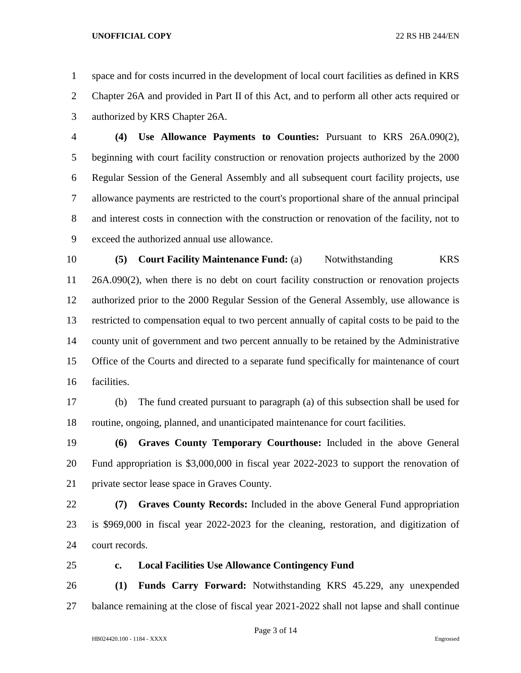space and for costs incurred in the development of local court facilities as defined in KRS Chapter 26A and provided in Part II of this Act, and to perform all other acts required or authorized by KRS Chapter 26A.

 **(4) Use Allowance Payments to Counties:** Pursuant to KRS 26A.090(2), beginning with court facility construction or renovation projects authorized by the 2000 Regular Session of the General Assembly and all subsequent court facility projects, use allowance payments are restricted to the court's proportional share of the annual principal and interest costs in connection with the construction or renovation of the facility, not to exceed the authorized annual use allowance.

**(5) Court Facility Maintenance Fund: (a)** Notwithstanding KRS 26A.090(2), when there is no debt on court facility construction or renovation projects authorized prior to the 2000 Regular Session of the General Assembly, use allowance is restricted to compensation equal to two percent annually of capital costs to be paid to the county unit of government and two percent annually to be retained by the Administrative Office of the Courts and directed to a separate fund specifically for maintenance of court facilities.

 (b) The fund created pursuant to paragraph (a) of this subsection shall be used for routine, ongoing, planned, and unanticipated maintenance for court facilities.

 **(6) Graves County Temporary Courthouse:** Included in the above General Fund appropriation is \$3,000,000 in fiscal year 2022-2023 to support the renovation of private sector lease space in Graves County.

 **(7) Graves County Records:** Included in the above General Fund appropriation is \$969,000 in fiscal year 2022-2023 for the cleaning, restoration, and digitization of court records.

## **c. Local Facilities Use Allowance Contingency Fund**

 **(1) Funds Carry Forward:** Notwithstanding KRS 45.229, any unexpended balance remaining at the close of fiscal year 2021-2022 shall not lapse and shall continue

Page 3 of 14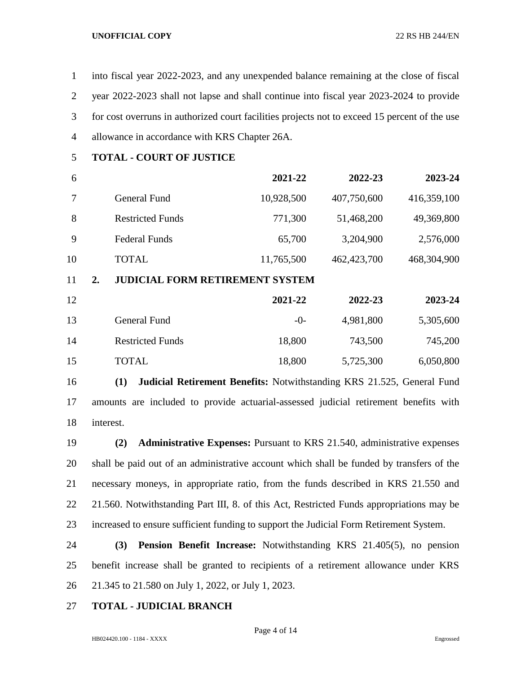into fiscal year 2022-2023, and any unexpended balance remaining at the close of fiscal year 2022-2023 shall not lapse and shall continue into fiscal year 2023-2024 to provide for cost overruns in authorized court facilities projects not to exceed 15 percent of the use allowance in accordance with KRS Chapter 26A.

**TOTAL - COURT OF JUSTICE**

| 6  |    |                                        | 2021-22    | 2022-23     | 2023-24     |
|----|----|----------------------------------------|------------|-------------|-------------|
| 7  |    | General Fund                           | 10,928,500 | 407,750,600 | 416,359,100 |
| 8  |    | <b>Restricted Funds</b>                | 771,300    | 51,468,200  | 49,369,800  |
| 9  |    | <b>Federal Funds</b>                   | 65,700     | 3,204,900   | 2,576,000   |
| 10 |    | <b>TOTAL</b>                           | 11,765,500 | 462,423,700 | 468,304,900 |
| 11 | 2. | <b>JUDICIAL FORM RETIREMENT SYSTEM</b> |            |             |             |
| 12 |    |                                        | 2021-22    | 2022-23     | 2023-24     |
| 13 |    | <b>General Fund</b>                    | $-0-$      | 4,981,800   | 5,305,600   |
| 14 |    | <b>Restricted Funds</b>                | 18,800     | 743,500     | 745,200     |
| 15 |    | <b>TOTAL</b>                           | 18,800     | 5,725,300   | 6,050,800   |

 **(1) Judicial Retirement Benefits:** Notwithstanding KRS 21.525, General Fund amounts are included to provide actuarial-assessed judicial retirement benefits with interest.

 **(2) Administrative Expenses:** Pursuant to KRS 21.540, administrative expenses shall be paid out of an administrative account which shall be funded by transfers of the necessary moneys, in appropriate ratio, from the funds described in KRS 21.550 and 21.560. Notwithstanding Part III, 8. of this Act, Restricted Funds appropriations may be increased to ensure sufficient funding to support the Judicial Form Retirement System.

 **(3) Pension Benefit Increase:** Notwithstanding KRS 21.405(5), no pension benefit increase shall be granted to recipients of a retirement allowance under KRS 21.345 to 21.580 on July 1, 2022, or July 1, 2023.

## **TOTAL - JUDICIAL BRANCH**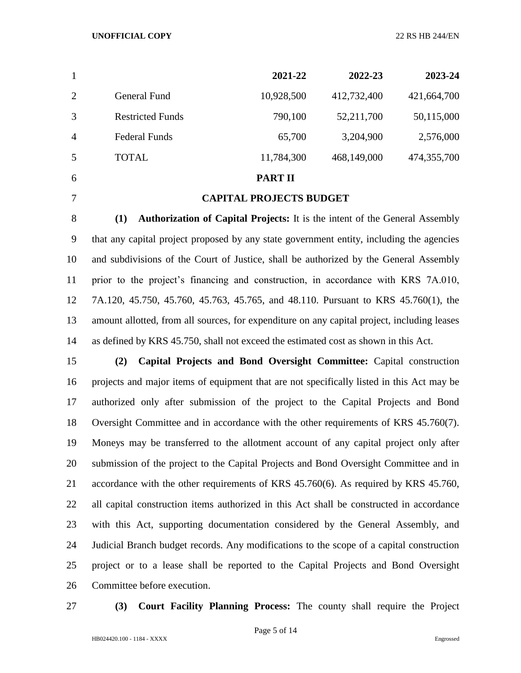|                |                         | 2021-22    | 2022-23     | 2023-24     |
|----------------|-------------------------|------------|-------------|-------------|
| 2              | General Fund            | 10,928,500 | 412,732,400 | 421,664,700 |
| 3              | <b>Restricted Funds</b> | 790,100    | 52,211,700  | 50,115,000  |
| $\overline{4}$ | <b>Federal Funds</b>    | 65,700     | 3,204,900   | 2,576,000   |
| 5              | <b>TOTAL</b>            | 11,784,300 | 468,149,000 | 474,355,700 |
|                |                         |            |             |             |

**PART II**

### **CAPITAL PROJECTS BUDGET**

 **(1) Authorization of Capital Projects:** It is the intent of the General Assembly that any capital project proposed by any state government entity, including the agencies and subdivisions of the Court of Justice, shall be authorized by the General Assembly prior to the project's financing and construction, in accordance with KRS 7A.010, 7A.120, 45.750, 45.760, 45.763, 45.765, and 48.110. Pursuant to KRS 45.760(1), the amount allotted, from all sources, for expenditure on any capital project, including leases as defined by KRS 45.750, shall not exceed the estimated cost as shown in this Act.

 **(2) Capital Projects and Bond Oversight Committee:** Capital construction projects and major items of equipment that are not specifically listed in this Act may be authorized only after submission of the project to the Capital Projects and Bond Oversight Committee and in accordance with the other requirements of KRS 45.760(7). Moneys may be transferred to the allotment account of any capital project only after submission of the project to the Capital Projects and Bond Oversight Committee and in accordance with the other requirements of KRS 45.760(6). As required by KRS 45.760, all capital construction items authorized in this Act shall be constructed in accordance with this Act, supporting documentation considered by the General Assembly, and Judicial Branch budget records. Any modifications to the scope of a capital construction project or to a lease shall be reported to the Capital Projects and Bond Oversight Committee before execution.

**(3) Court Facility Planning Process:** The county shall require the Project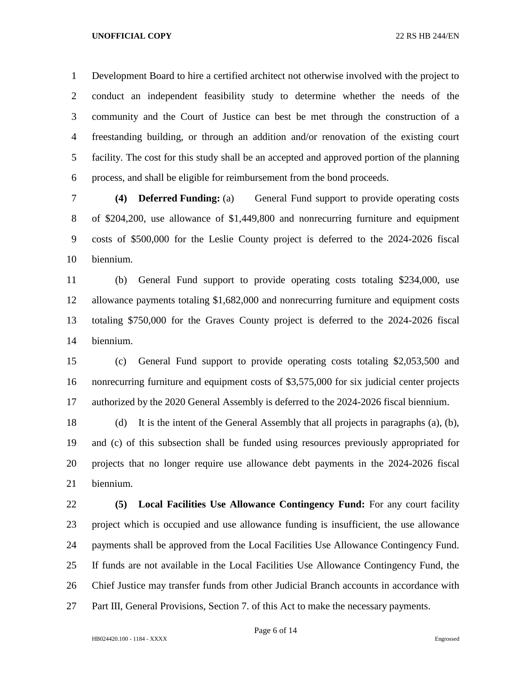Development Board to hire a certified architect not otherwise involved with the project to conduct an independent feasibility study to determine whether the needs of the community and the Court of Justice can best be met through the construction of a freestanding building, or through an addition and/or renovation of the existing court facility. The cost for this study shall be an accepted and approved portion of the planning process, and shall be eligible for reimbursement from the bond proceeds.

 **(4) Deferred Funding:** (a) General Fund support to provide operating costs of \$204,200, use allowance of \$1,449,800 and nonrecurring furniture and equipment costs of \$500,000 for the Leslie County project is deferred to the 2024-2026 fiscal biennium.

 (b) General Fund support to provide operating costs totaling \$234,000, use allowance payments totaling \$1,682,000 and nonrecurring furniture and equipment costs totaling \$750,000 for the Graves County project is deferred to the 2024-2026 fiscal biennium.

 (c) General Fund support to provide operating costs totaling \$2,053,500 and nonrecurring furniture and equipment costs of \$3,575,000 for six judicial center projects authorized by the 2020 General Assembly is deferred to the 2024-2026 fiscal biennium.

 (d) It is the intent of the General Assembly that all projects in paragraphs (a), (b), and (c) of this subsection shall be funded using resources previously appropriated for projects that no longer require use allowance debt payments in the 2024-2026 fiscal biennium.

 **(5) Local Facilities Use Allowance Contingency Fund:** For any court facility project which is occupied and use allowance funding is insufficient, the use allowance payments shall be approved from the Local Facilities Use Allowance Contingency Fund. If funds are not available in the Local Facilities Use Allowance Contingency Fund, the Chief Justice may transfer funds from other Judicial Branch accounts in accordance with 27 Part III, General Provisions, Section 7. of this Act to make the necessary payments.

Page 6 of 14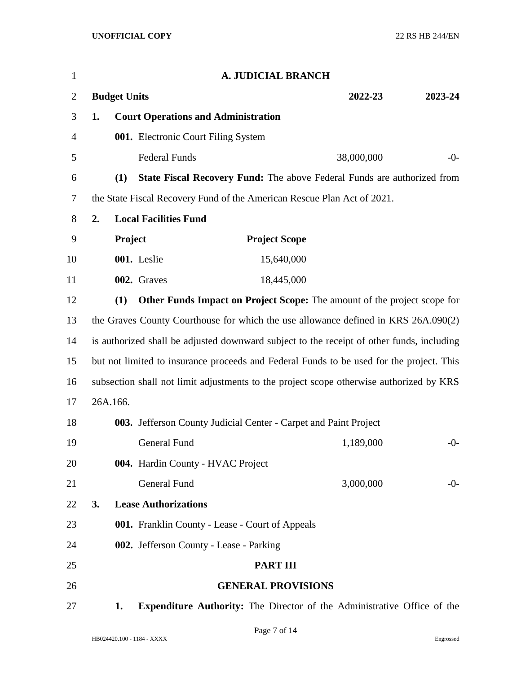| $\mathbf{1}$ |    |                     |                                            | A. JUDICIAL BRANCH                                                                        |            |         |
|--------------|----|---------------------|--------------------------------------------|-------------------------------------------------------------------------------------------|------------|---------|
| 2            |    | <b>Budget Units</b> |                                            |                                                                                           | 2022-23    | 2023-24 |
| 3            | 1. |                     | <b>Court Operations and Administration</b> |                                                                                           |            |         |
| 4            |    |                     | 001. Electronic Court Filing System        |                                                                                           |            |         |
| 5            |    |                     | <b>Federal Funds</b>                       |                                                                                           | 38,000,000 | $-0-$   |
| 6            |    | (1)                 |                                            | <b>State Fiscal Recovery Fund:</b> The above Federal Funds are authorized from            |            |         |
| 7            |    |                     |                                            | the State Fiscal Recovery Fund of the American Rescue Plan Act of 2021.                   |            |         |
| 8            | 2. |                     | <b>Local Facilities Fund</b>               |                                                                                           |            |         |
| 9            |    | Project             |                                            | <b>Project Scope</b>                                                                      |            |         |
| 10           |    |                     | 001. Leslie                                | 15,640,000                                                                                |            |         |
| 11           |    |                     | 002. Graves                                | 18,445,000                                                                                |            |         |
| 12           |    | (1)                 |                                            | Other Funds Impact on Project Scope: The amount of the project scope for                  |            |         |
| 13           |    |                     |                                            | the Graves County Courthouse for which the use allowance defined in KRS 26A.090(2)        |            |         |
| 14           |    |                     |                                            | is authorized shall be adjusted downward subject to the receipt of other funds, including |            |         |
| 15           |    |                     |                                            | but not limited to insurance proceeds and Federal Funds to be used for the project. This  |            |         |
| 16           |    |                     |                                            | subsection shall not limit adjustments to the project scope otherwise authorized by KRS   |            |         |
| 17           |    | 26A.166.            |                                            |                                                                                           |            |         |
| 18           |    |                     |                                            | 003. Jefferson County Judicial Center - Carpet and Paint Project                          |            |         |
| 19           |    |                     | General Fund                               |                                                                                           | 1,189,000  | $-0-$   |
| 20           |    |                     | 004. Hardin County - HVAC Project          |                                                                                           |            |         |
| 21           |    |                     | <b>General Fund</b>                        |                                                                                           | 3,000,000  | $-0-$   |
| 22           | 3. |                     | <b>Lease Authorizations</b>                |                                                                                           |            |         |
| 23           |    |                     |                                            | 001. Franklin County - Lease - Court of Appeals                                           |            |         |
| 24           |    |                     | 002. Jefferson County - Lease - Parking    |                                                                                           |            |         |
| 25           |    |                     |                                            | <b>PART III</b>                                                                           |            |         |
| 26           |    |                     |                                            | <b>GENERAL PROVISIONS</b>                                                                 |            |         |
| 27           |    | 1.                  |                                            | <b>Expenditure Authority:</b> The Director of the Administrative Office of the            |            |         |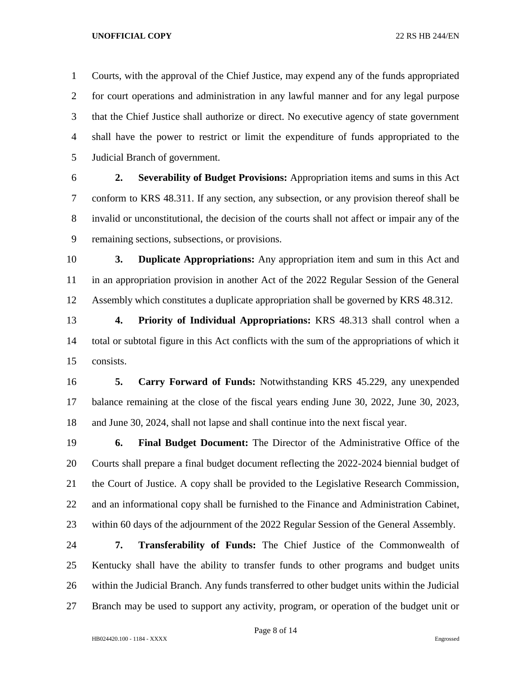Courts, with the approval of the Chief Justice, may expend any of the funds appropriated for court operations and administration in any lawful manner and for any legal purpose that the Chief Justice shall authorize or direct. No executive agency of state government shall have the power to restrict or limit the expenditure of funds appropriated to the Judicial Branch of government.

 **2. Severability of Budget Provisions:** Appropriation items and sums in this Act conform to KRS 48.311. If any section, any subsection, or any provision thereof shall be invalid or unconstitutional, the decision of the courts shall not affect or impair any of the remaining sections, subsections, or provisions.

 **3. Duplicate Appropriations:** Any appropriation item and sum in this Act and in an appropriation provision in another Act of the 2022 Regular Session of the General Assembly which constitutes a duplicate appropriation shall be governed by KRS 48.312.

 **4. Priority of Individual Appropriations:** KRS 48.313 shall control when a total or subtotal figure in this Act conflicts with the sum of the appropriations of which it consists.

 **5. Carry Forward of Funds:** Notwithstanding KRS 45.229, any unexpended balance remaining at the close of the fiscal years ending June 30, 2022, June 30, 2023, and June 30, 2024, shall not lapse and shall continue into the next fiscal year.

 **6. Final Budget Document:** The Director of the Administrative Office of the Courts shall prepare a final budget document reflecting the 2022-2024 biennial budget of the Court of Justice. A copy shall be provided to the Legislative Research Commission, and an informational copy shall be furnished to the Finance and Administration Cabinet, within 60 days of the adjournment of the 2022 Regular Session of the General Assembly.

 **7. Transferability of Funds:** The Chief Justice of the Commonwealth of Kentucky shall have the ability to transfer funds to other programs and budget units within the Judicial Branch. Any funds transferred to other budget units within the Judicial Branch may be used to support any activity, program, or operation of the budget unit or

Page 8 of 14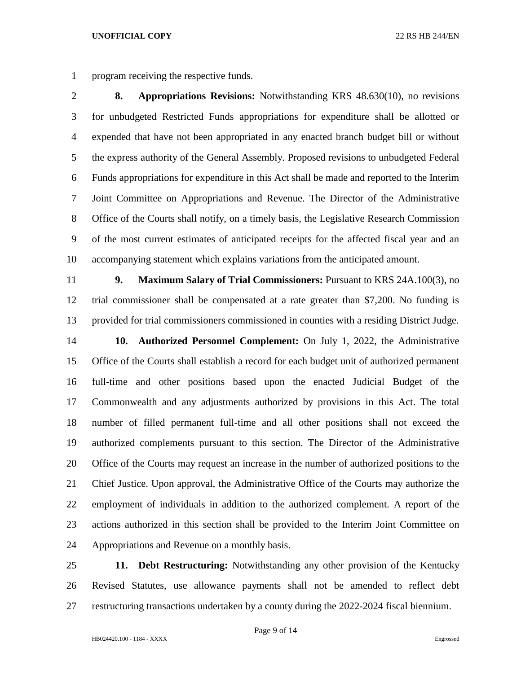program receiving the respective funds.

 **8. Appropriations Revisions:** Notwithstanding KRS 48.630(10), no revisions for unbudgeted Restricted Funds appropriations for expenditure shall be allotted or expended that have not been appropriated in any enacted branch budget bill or without the express authority of the General Assembly. Proposed revisions to unbudgeted Federal Funds appropriations for expenditure in this Act shall be made and reported to the Interim Joint Committee on Appropriations and Revenue. The Director of the Administrative Office of the Courts shall notify, on a timely basis, the Legislative Research Commission of the most current estimates of anticipated receipts for the affected fiscal year and an accompanying statement which explains variations from the anticipated amount.

 **9. Maximum Salary of Trial Commissioners:** Pursuant to KRS 24A.100(3), no trial commissioner shall be compensated at a rate greater than \$7,200. No funding is provided for trial commissioners commissioned in counties with a residing District Judge.

 **10. Authorized Personnel Complement:** On July 1, 2022, the Administrative Office of the Courts shall establish a record for each budget unit of authorized permanent full-time and other positions based upon the enacted Judicial Budget of the Commonwealth and any adjustments authorized by provisions in this Act. The total number of filled permanent full-time and all other positions shall not exceed the authorized complements pursuant to this section. The Director of the Administrative Office of the Courts may request an increase in the number of authorized positions to the Chief Justice. Upon approval, the Administrative Office of the Courts may authorize the employment of individuals in addition to the authorized complement. A report of the actions authorized in this section shall be provided to the Interim Joint Committee on Appropriations and Revenue on a monthly basis.

 **11. Debt Restructuring:** Notwithstanding any other provision of the Kentucky Revised Statutes, use allowance payments shall not be amended to reflect debt restructuring transactions undertaken by a county during the 2022-2024 fiscal biennium.

Page 9 of 14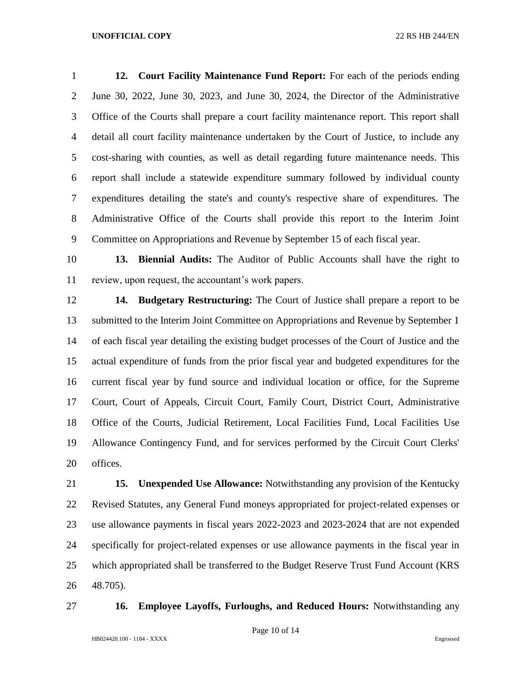**12. Court Facility Maintenance Fund Report:** For each of the periods ending June 30, 2022, June 30, 2023, and June 30, 2024, the Director of the Administrative Office of the Courts shall prepare a court facility maintenance report. This report shall detail all court facility maintenance undertaken by the Court of Justice, to include any cost-sharing with counties, as well as detail regarding future maintenance needs. This report shall include a statewide expenditure summary followed by individual county expenditures detailing the state's and county's respective share of expenditures. The Administrative Office of the Courts shall provide this report to the Interim Joint Committee on Appropriations and Revenue by September 15 of each fiscal year.

 **13. Biennial Audits:** The Auditor of Public Accounts shall have the right to review, upon request, the accountant's work papers.

 **14. Budgetary Restructuring:** The Court of Justice shall prepare a report to be submitted to the Interim Joint Committee on Appropriations and Revenue by September 1 of each fiscal year detailing the existing budget processes of the Court of Justice and the actual expenditure of funds from the prior fiscal year and budgeted expenditures for the current fiscal year by fund source and individual location or office, for the Supreme Court, Court of Appeals, Circuit Court, Family Court, District Court, Administrative Office of the Courts, Judicial Retirement, Local Facilities Fund, Local Facilities Use Allowance Contingency Fund, and for services performed by the Circuit Court Clerks' offices.

 **15. Unexpended Use Allowance:** Notwithstanding any provision of the Kentucky Revised Statutes, any General Fund moneys appropriated for project-related expenses or use allowance payments in fiscal years 2022-2023 and 2023-2024 that are not expended specifically for project-related expenses or use allowance payments in the fiscal year in which appropriated shall be transferred to the Budget Reserve Trust Fund Account (KRS 48.705).

**16. Employee Layoffs, Furloughs, and Reduced Hours:** Notwithstanding any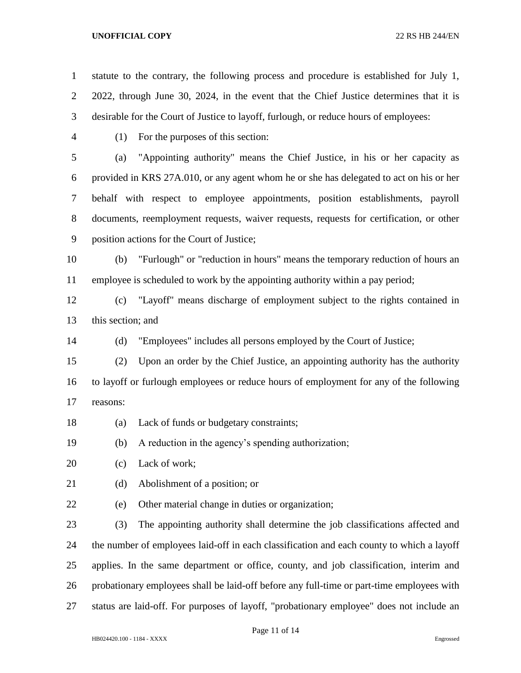statute to the contrary, the following process and procedure is established for July 1, 2022, through June 30, 2024, in the event that the Chief Justice determines that it is desirable for the Court of Justice to layoff, furlough, or reduce hours of employees:

- 
- (1) For the purposes of this section:

 (a) "Appointing authority" means the Chief Justice, in his or her capacity as provided in KRS 27A.010, or any agent whom he or she has delegated to act on his or her behalf with respect to employee appointments, position establishments, payroll documents, reemployment requests, waiver requests, requests for certification, or other position actions for the Court of Justice;

 (b) "Furlough" or "reduction in hours" means the temporary reduction of hours an employee is scheduled to work by the appointing authority within a pay period;

 (c) "Layoff" means discharge of employment subject to the rights contained in this section; and

(d) "Employees" includes all persons employed by the Court of Justice;

 (2) Upon an order by the Chief Justice, an appointing authority has the authority to layoff or furlough employees or reduce hours of employment for any of the following reasons:

(a) Lack of funds or budgetary constraints;

(b) A reduction in the agency's spending authorization;

- 20 (c) Lack of work;
- 21 (d) Abolishment of a position; or
- 
- (e) Other material change in duties or organization;

 (3) The appointing authority shall determine the job classifications affected and the number of employees laid-off in each classification and each county to which a layoff applies. In the same department or office, county, and job classification, interim and probationary employees shall be laid-off before any full-time or part-time employees with status are laid-off. For purposes of layoff, "probationary employee" does not include an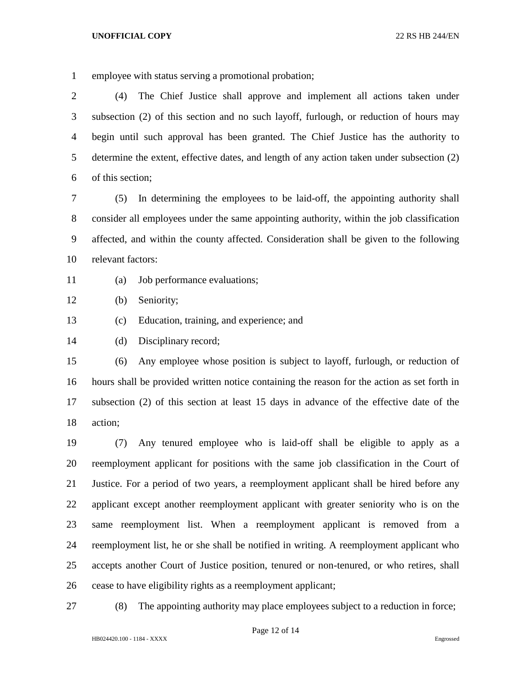employee with status serving a promotional probation;

 (4) The Chief Justice shall approve and implement all actions taken under subsection (2) of this section and no such layoff, furlough, or reduction of hours may begin until such approval has been granted. The Chief Justice has the authority to determine the extent, effective dates, and length of any action taken under subsection (2) of this section;

 (5) In determining the employees to be laid-off, the appointing authority shall consider all employees under the same appointing authority, within the job classification affected, and within the county affected. Consideration shall be given to the following relevant factors:

- (a) Job performance evaluations;
- (b) Seniority;
- (c) Education, training, and experience; and

(d) Disciplinary record;

 (6) Any employee whose position is subject to layoff, furlough, or reduction of hours shall be provided written notice containing the reason for the action as set forth in subsection (2) of this section at least 15 days in advance of the effective date of the action;

 (7) Any tenured employee who is laid-off shall be eligible to apply as a reemployment applicant for positions with the same job classification in the Court of Justice. For a period of two years, a reemployment applicant shall be hired before any applicant except another reemployment applicant with greater seniority who is on the same reemployment list. When a reemployment applicant is removed from a reemployment list, he or she shall be notified in writing. A reemployment applicant who accepts another Court of Justice position, tenured or non-tenured, or who retires, shall cease to have eligibility rights as a reemployment applicant;

(8) The appointing authority may place employees subject to a reduction in force;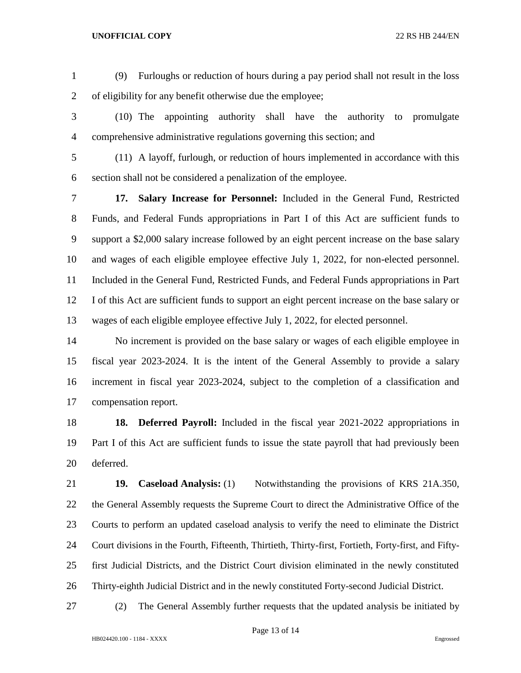- (9) Furloughs or reduction of hours during a pay period shall not result in the loss of eligibility for any benefit otherwise due the employee;
- (10) The appointing authority shall have the authority to promulgate comprehensive administrative regulations governing this section; and
- (11) A layoff, furlough, or reduction of hours implemented in accordance with this section shall not be considered a penalization of the employee.

 **17. Salary Increase for Personnel:** Included in the General Fund, Restricted Funds, and Federal Funds appropriations in Part I of this Act are sufficient funds to support a \$2,000 salary increase followed by an eight percent increase on the base salary and wages of each eligible employee effective July 1, 2022, for non-elected personnel. Included in the General Fund, Restricted Funds, and Federal Funds appropriations in Part I of this Act are sufficient funds to support an eight percent increase on the base salary or wages of each eligible employee effective July 1, 2022, for elected personnel.

 No increment is provided on the base salary or wages of each eligible employee in fiscal year 2023-2024. It is the intent of the General Assembly to provide a salary increment in fiscal year 2023-2024, subject to the completion of a classification and compensation report.

 **18. Deferred Payroll:** Included in the fiscal year 2021-2022 appropriations in Part I of this Act are sufficient funds to issue the state payroll that had previously been deferred.

 **19. Caseload Analysis:** (1) Notwithstanding the provisions of KRS 21A.350, 22 the General Assembly requests the Supreme Court to direct the Administrative Office of the Courts to perform an updated caseload analysis to verify the need to eliminate the District Court divisions in the Fourth, Fifteenth, Thirtieth, Thirty-first, Fortieth, Forty-first, and Fifty- first Judicial Districts, and the District Court division eliminated in the newly constituted Thirty-eighth Judicial District and in the newly constituted Forty-second Judicial District.

(2) The General Assembly further requests that the updated analysis be initiated by